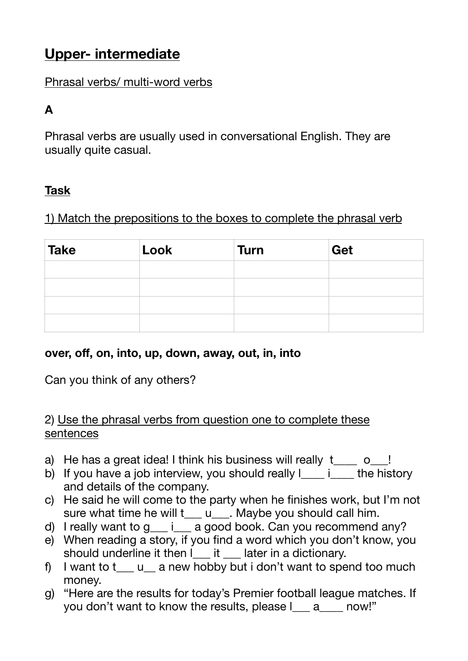# **Upper- intermediate**

## Phrasal verbs/ multi-word verbs

## **A**

Phrasal verbs are usually used in conversational English. They are usually quite casual.

## **Task**

1) Match the prepositions to the boxes to complete the phrasal verb

| <b>Take</b> | Look | <b>Turn</b> | Get |
|-------------|------|-------------|-----|
|             |      |             |     |
|             |      |             |     |
|             |      |             |     |
|             |      |             |     |

### **over, off, on, into, up, down, away, out, in, into**

Can you think of any others?

#### 2) Use the phrasal verbs from question one to complete these sentences

- a) He has a great idea! I think his business will really  $t_{\text{max}}$  o\_!
- b) If you have a job interview, you should really  $\frac{1}{\cdot}$  interministory and details of the company.
- c) He said he will come to the party when he finishes work, but I'm not sure what time he will t\_\_\_ u\_\_\_. Maybe you should call him.
- d) I really want to  $g$   $\equiv$   $i$  a good book. Can you recommend any?
- e) When reading a story, if you find a word which you don't know, you should underline it then l it later in a dictionary.
- f) I want to  $t_{\text{max}}$  u<sub>sing</sub> a new hobby but i don't want to spend too much money.
- g) "Here are the results for today's Premier football league matches. If you don't want to know the results, please l a cow!"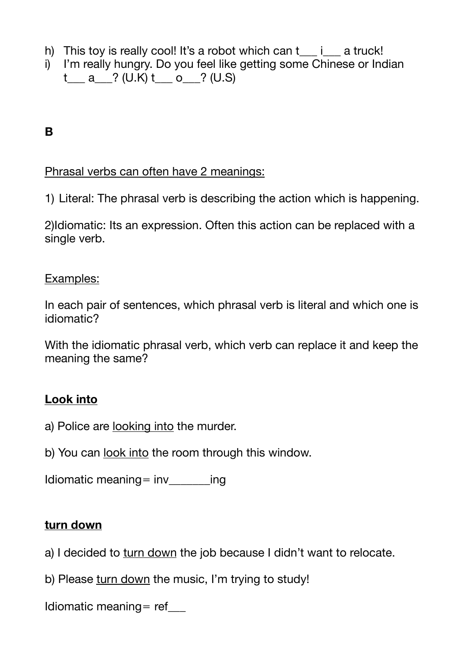- h) This toy is really cool! It's a robot which can  $t$  i a truck!
- i) I'm really hungry. Do you feel like getting some Chinese or Indian  $t_a$  a  $?$  (U.K)  $t_a$  o  $?$  (U.S)

## **B**

#### Phrasal verbs can often have 2 meanings:

1) Literal: The phrasal verb is describing the action which is happening.

2)Idiomatic: Its an expression. Often this action can be replaced with a single verb.

#### Examples:

In each pair of sentences, which phrasal verb is literal and which one is idiomatic?

With the idiomatic phrasal verb, which verb can replace it and keep the meaning the same?

### **Look into**

- a) Police are looking into the murder.
- b) You can look into the room through this window.

Idiomatic meaning=  $inv$  ing

#### **turn down**

- a) I decided to turn down the job because I didn't want to relocate.
- b) Please turn down the music, I'm trying to study!

Idiomatic meaning = ref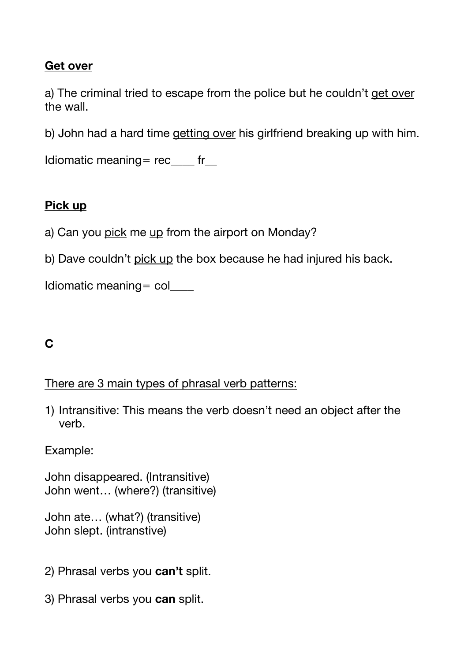## **Get over**

a) The criminal tried to escape from the police but he couldn't get over the wall.

b) John had a hard time getting over his girlfriend breaking up with him.

Idiomatic meaning=  $rec$  fr

## **Pick up**

- a) Can you pick me up from the airport on Monday?
- b) Dave couldn't pick up the box because he had injured his back.

```
Idiomatic meaning = col
```
## **C**

#### There are 3 main types of phrasal verb patterns:

1) Intransitive: This means the verb doesn't need an object after the verb.

Example:

John disappeared. (Intransitive) John went… (where?) (transitive)

```
John ate… (what?) (transitive)
John slept. (intranstive)
```
- 2) Phrasal verbs you **can't** split.
- 3) Phrasal verbs you **can** split.